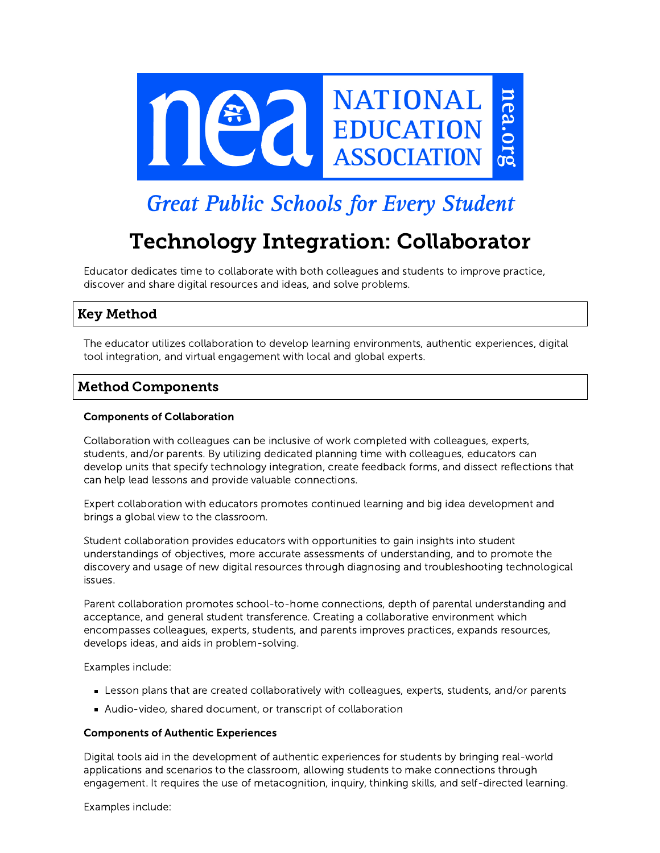

# **Great Public Schools for Every Student**

# Technology Integration: Collaborator

Educator dedicates time to collaborate with both colleagues and students to improve practice, discover and share digital resources and ideas, and solve problems.

# Key Method

The educator utilizes collaboration to develop learning environments, authentic experiences, digital tool integration, and virtual engagement with local and global experts.

# Method Components

# Components of Collaboration

Collaboration with colleagues can be inclusive of work completed with colleagues, experts, students, and/or parents. By utilizing dedicated planning time with colleagues, educators can develop units that specify technology integration, create feedback forms, and dissect reflections that can help lead lessons and provide valuable connections.

Expert collaboration with educators promotes continued learning and big idea development and brings a global view to the classroom.

Student collaboration provides educators with opportunities to gain insights into student understandings of objectives, more accurate assessments of understanding, and to promote the discovery and usage of new digital resources through diagnosing and troubleshooting technological issues.

Parent collaboration promotes school-to-home connections, depth of parental understanding and acceptance, and general student transference. Creating a collaborative environment which encompasses colleagues, experts, students, and parents improves practices, expands resources, develops ideas, and aids in problem-solving.

Examples include:

- Lesson plans that are created collaboratively with colleagues, experts, students, and/or parents
- Audio-video, shared document, or transcript of collaboration

# Components of Authentic Experiences

Digital tools aid in the development of authentic experiences for students by bringing real-world applications and scenarios to the classroom, allowing students to make connections through engagement. It requires the use of metacognition, inquiry, thinking skills, and self-directed learning.

Examples include: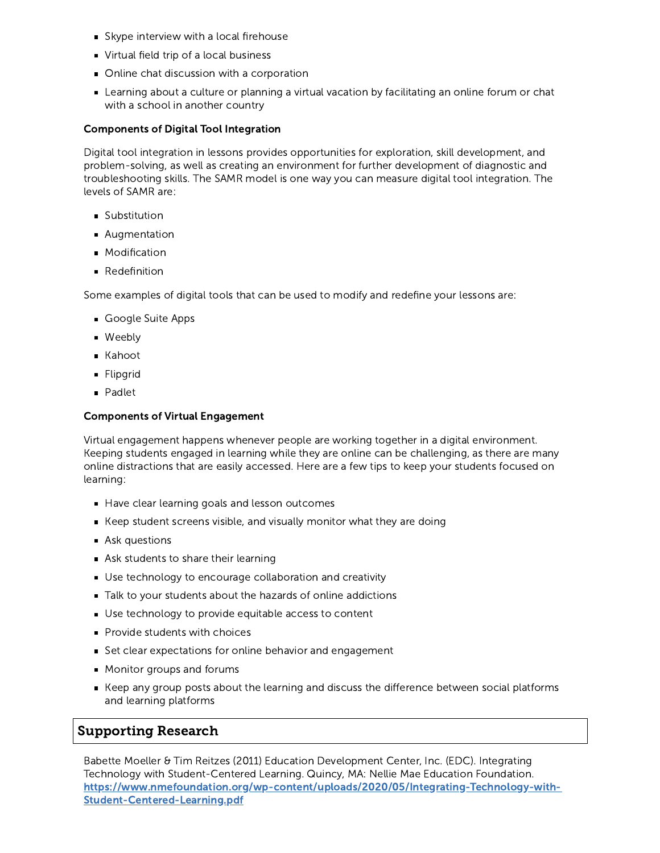- Skype interview with a local firehouse
- Virtual field trip of a local business
- Online chat discussion with a corporation
- Learning about a culture or planning a virtual vacation by facilitating an online forum or chat with a school in another country

## Components of Digital Tool Integration

Digital tool integration in lessons provides opportunities for exploration, skill development, and problem-solving, as well as creating an environment for further development of diagnostic and troubleshooting skills. The SAMR model is one way you can measure digital tool integration. The levels of SAMR are:

- **Substitution**
- **Augmentation**
- **Modification**
- **Redefinition**

Some examples of digital tools that can be used to modify and redefine your lessons are:

- Google Suite Apps
- **Weebly**
- Kahoot
- **Flipgrid**
- **Padlet**

## Components of Virtual Engagement

Virtual engagement happens whenever people are working together in a digital environment. Keeping students engaged in learning while they are online can be challenging, as there are many online distractions that are easily accessed. Here are a few tips to keep your students focused on learning:

- Have clear learning goals and lesson outcomes
- Keep student screens visible, and visually monitor what they are doing
- Ask questions
- Ask students to share their learning
- Use technology to encourage collaboration and creativity
- Talk to your students about the hazards of online addictions
- Use technology to provide equitable access to content
- **Provide students with choices**
- Set clear expectations for online behavior and engagement
- **Monitor groups and forums**
- Keep any group posts about the learning and discuss the difference between social platforms and learning platforms

# Supporting Research

Babette Moeller & Tim Reitzes (2011) Education Development Center, Inc. (EDC). Integrating Technology with Student-Centered Learning. Quincy, MA: Nellie Mae Education Foundation. [https://www.nmefoundation.org/wp-content/uploads/2020/05/Integrating-Technology-with-](https://www.nmefoundation.org/wp-content/uploads/2020/05/Integrating-Technology-with-Student-Centered-Learning.pdf)Student-Centered-Learning.pdf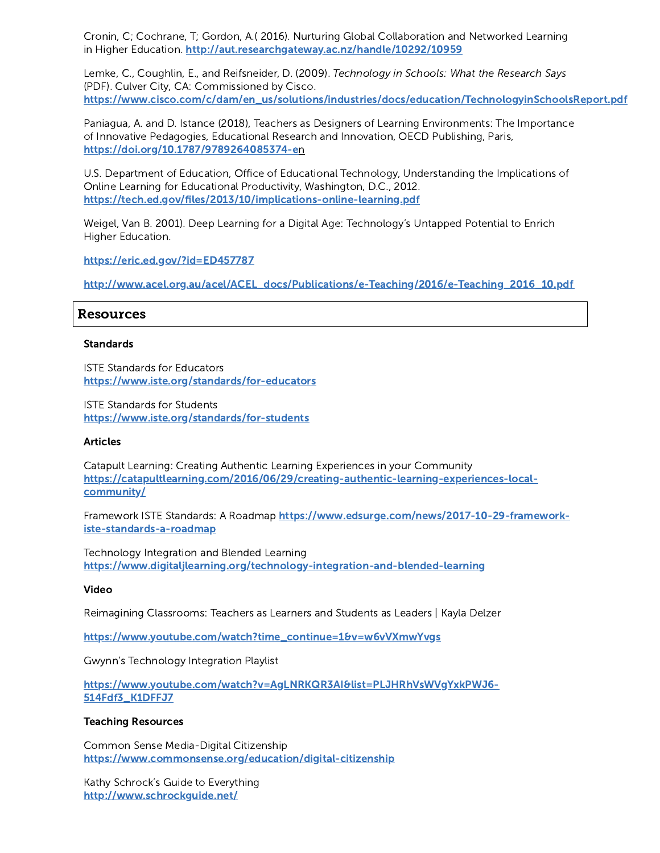Cronin, C; Cochrane, T; Gordon, A.( 2016). Nurturing Global Collaboration and Networked Learning in Higher Education. <http://aut.researchgateway.ac.nz/handle/10292/10959>

Lemke, C., Coughlin, E., and Reifsneider, D. (2009). Technology in Schools: What the Research Says (PDF). Culver City, CA: Commissioned by Cisco. [https://www.cisco.com/c/dam/en\\_us/solutions/industries/docs/education/TechnologyinSchoolsReport.pdf](https://www.cisco.com/c/dam/en_us/solutions/industries/docs/education/TechnologyinSchoolsReport.pdf)

Paniagua, A. and D. Istance (2018), Teachers as Designers of Learning Environments: The Importance of Innovative Pedagogies, Educational Research and Innovation, OECD Publishing, Paris, [https://doi.org/10.1787/9789264085374-e](https://doi.org/10.1787/9789264085374-en)n

U.S. Department of Education, Office of Educational Technology, Understanding the Implications of Online Learning for Educational Productivity, Washington, D.C., 2012. <https://tech.ed.gov/files/2013/10/implications-online-learning.pdf>

Weigel, Van B. 2001). Deep Learning for a Digital Age: Technology's Untapped Potential to Enrich Higher Education.

<https://eric.ed.gov/?id=ED457787>

[http://www.acel.org.au/acel/ACEL\\_docs/Publications/e-Teaching/2016/e-Teaching\\_2016\\_10.pdf](http://www.acel.org.au/acel/ACEL_docs/Publications/e-Teaching/2016/e-Teaching_2016_10.pdf)

## Resources

#### Standards

ISTE Standards for Educators <https://www.iste.org/standards/for-educators>

ISTE Standards for Students <https://www.iste.org/standards/for-students>

#### **Articles**

Catapult Learning: Creating Authentic Learning Experiences in your Community [https://catapultlearning.com/2016/06/29/creating-authentic-learning-experiences-local](https://catapultlearning.com/2016/06/29/creating-authentic-learning-experiences-local-community/)community/

Framework ISTE Standards: A Roadmap [https://www.edsurge.com/news/2017-10-29-framework](https://www.edsurge.com/news/2017-10-29-framework-iste-standards-a-roadmap)iste-standards-a-roadmap

Technology Integration and Blended Learning <https://www.digitaljlearning.org/technology-integration-and-blended-learning>

#### Video

Reimagining Classrooms: Teachers as Learners and Students as Leaders | Kayla Delzer

[https://www.youtube.com/watch?time\\_continue=1&v=w6vVXmwYvgs](https://www.youtube.com/watch?time_continue=1&v=w6vVXmwYvgs)

Gwynn's Technology Integration Playlist

[https://www.youtube.com/watch?v=AgLNRKQR3AI&list=PLJHRhVsWVgYxkPWJ6-](https://www.youtube.com/watch?v=AgLNRKQR3AI&list=PLJHRhVsWVgYxkPWJ6-514Fdf3_K1DFFJ7) 514Fdf3\_K1DFFJ7

#### Teaching Resources

Common Sense Media-Digital Citizenship <https://www.commonsense.org/education/digital-citizenship>

Kathy Schrock's Guide to Everything <http://www.schrockguide.net/>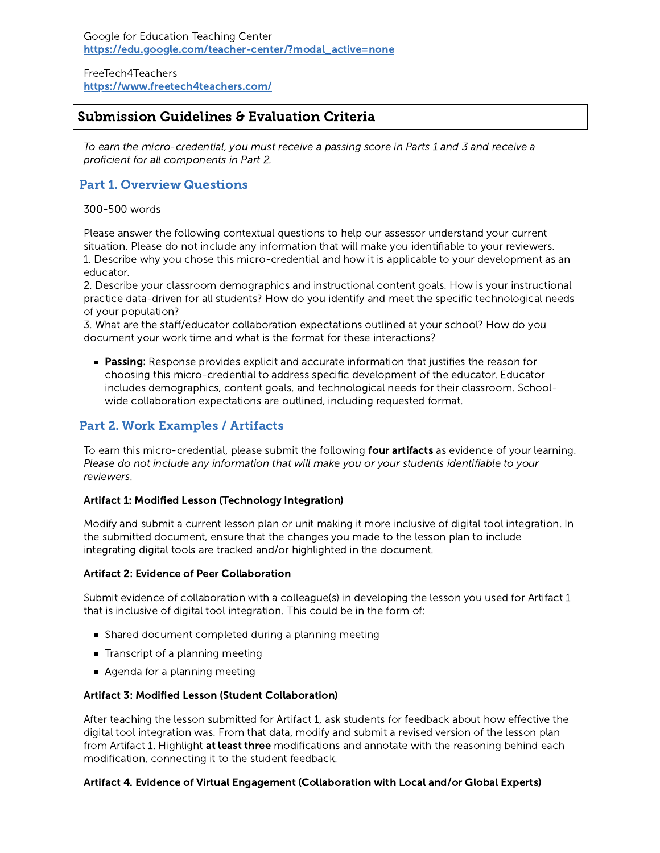FreeTech4Teachers <https://www.freetech4teachers.com/>

# Submission Guidelines & Evaluation Criteria

To earn the micro-credential, you must receive a passing score in Parts 1 and 3 and receive a proficient for all components in Part 2.

# Part 1. Overview Questions

300-500 words

Please answer the following contextual questions to help our assessor understand your current situation. Please do not include any information that will make you identifiable to your reviewers. 1. Describe why you chose this micro-credential and how it is applicable to your development as an educator.

2. Describe your classroom demographics and instructional content goals. How is your instructional practice data-driven for all students? How do you identify and meet the specific technological needs of your population?

3. What are the staff/educator collaboration expectations outlined at your school? How do you document your work time and what is the format for these interactions?

**Passing:** Response provides explicit and accurate information that justifies the reason for choosing this micro-credential to address specific development of the educator. Educator includes demographics, content goals, and technological needs for their classroom. Schoolwide collaboration expectations are outlined, including requested format.

# Part 2. Work Examples / Artifacts

To earn this micro-credential, please submit the following four artifacts as evidence of your learning. Please do not include any information that will make you or your students identifiable to your reviewers.

# Artifact 1: Modified Lesson (Technology Integration)

Modify and submit a current lesson plan or unit making it more inclusive of digital tool integration. In the submitted document, ensure that the changes you made to the lesson plan to include integrating digital tools are tracked and/or highlighted in the document.

# Artifact 2: Evidence of Peer Collaboration

Submit evidence of collaboration with a colleague(s) in developing the lesson you used for Artifact 1 that is inclusive of digital tool integration. This could be in the form of:

- Shared document completed during a planning meeting
- **Transcript of a planning meeting**
- Agenda for a planning meeting

# Artifact 3: Modified Lesson (Student Collaboration)

After teaching the lesson submitted for Artifact 1, ask students for feedback about how effective the digital tool integration was. From that data, modify and submit a revised version of the lesson plan from Artifact 1. Highlight at least three modifications and annotate with the reasoning behind each modification, connecting it to the student feedback.

# Artifact 4. Evidence of Virtual Engagement (Collaboration with Local and/or Global Experts)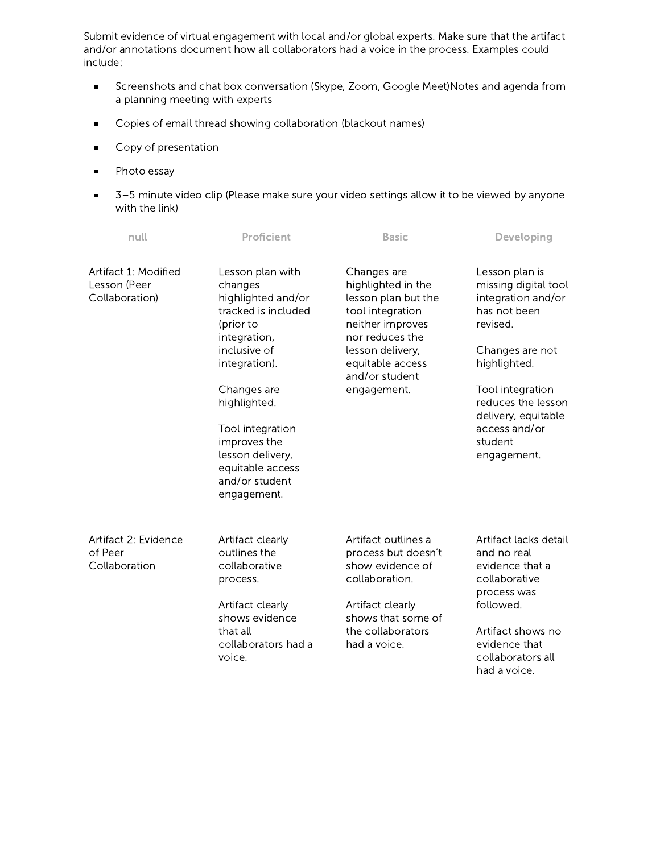Submit evidence of virtual engagement with local and/or global experts. Make sure that the artifact and/or annotations document how all collaborators had a voice in the process. Examples could include:

- Screenshots and chat box conversation (Skype, Zoom, Google Meet)Notes and agenda from  $\blacksquare$ a planning meeting with experts
- Copies of email thread showing collaboration (blackout names)  $\blacksquare$
- Copy of presentation  $\blacksquare$
- Photo essay  $\blacksquare$
- 3–5 minute video clip (Please make sure your video settings allow it to be viewed by anyone o. with the link)

| null                                                   | Proficient                                                                                                | <b>Basic</b>                                                                                                        | Developing                                                                               |
|--------------------------------------------------------|-----------------------------------------------------------------------------------------------------------|---------------------------------------------------------------------------------------------------------------------|------------------------------------------------------------------------------------------|
| Artifact 1: Modified<br>Lesson (Peer<br>Collaboration) | Lesson plan with<br>changes<br>highlighted and/or<br>tracked is included<br>(prior to<br>integration,     | Changes are<br>highlighted in the<br>lesson plan but the<br>tool integration<br>neither improves<br>nor reduces the | Lesson plan is<br>missing digital tool<br>integration and/or<br>has not been<br>revised. |
|                                                        | inclusive of<br>integration).                                                                             | lesson delivery,<br>equitable access<br>and/or student                                                              | Changes are not<br>highlighted.                                                          |
|                                                        | Changes are<br>highlighted.                                                                               | engagement.                                                                                                         | Tool integration<br>reduces the lesson                                                   |
|                                                        | Tool integration<br>improves the<br>lesson delivery,<br>equitable access<br>and/or student<br>engagement. |                                                                                                                     | delivery, equitable<br>access and/or<br>student<br>engagement.                           |
| Artifact 2: Evidence<br>of Peer<br>Collaboration       | Artifact clearly<br>outlines the<br>collaborative<br>process.                                             | Artifact outlines a<br>process but doesn't<br>show evidence of<br>collaboration.                                    | Artifact lacks detail<br>and no real<br>evidence that a<br>collaborative<br>process was  |
|                                                        | Artifact clearly<br>shows evidence                                                                        | Artifact clearly<br>shows that some of                                                                              | followed.                                                                                |
|                                                        | that all<br>collaborators had a<br>voice.                                                                 | the collaborators<br>had a voice.                                                                                   | Artifact shows no<br>evidence that<br>collaborators all<br>had a voice.                  |